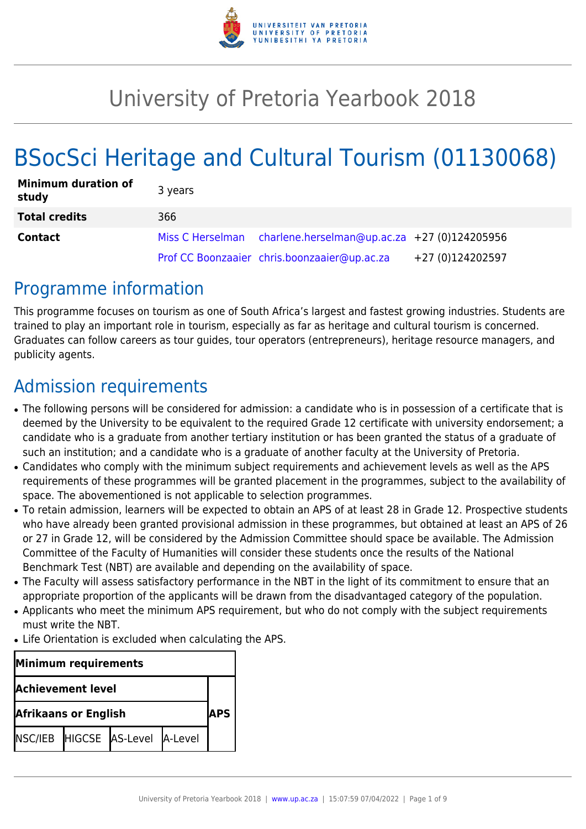

# University of Pretoria Yearbook 2018

# BSocSci Heritage and Cultural Tourism (01130068)

| <b>Minimum duration of</b><br>study | 3 years |                                                               |                  |
|-------------------------------------|---------|---------------------------------------------------------------|------------------|
| <b>Total credits</b>                | 366     |                                                               |                  |
| <b>Contact</b>                      |         | Miss C Herselman charlene.herselman@up.ac.za +27 (0)124205956 |                  |
|                                     |         | Prof CC Boonzaaier chris.boonzaaier@up.ac.za                  | +27 (0)124202597 |

# Programme information

This programme focuses on tourism as one of South Africa's largest and fastest growing industries. Students are trained to play an important role in tourism, especially as far as heritage and cultural tourism is concerned. Graduates can follow careers as tour guides, tour operators (entrepreneurs), heritage resource managers, and publicity agents.

# Admission requirements

- The following persons will be considered for admission: a candidate who is in possession of a certificate that is deemed by the University to be equivalent to the required Grade 12 certificate with university endorsement; a candidate who is a graduate from another tertiary institution or has been granted the status of a graduate of such an institution; and a candidate who is a graduate of another faculty at the University of Pretoria.
- Candidates who comply with the minimum subject requirements and achievement levels as well as the APS requirements of these programmes will be granted placement in the programmes, subject to the availability of space. The abovementioned is not applicable to selection programmes.
- To retain admission, learners will be expected to obtain an APS of at least 28 in Grade 12. Prospective students who have already been granted provisional admission in these programmes, but obtained at least an APS of 26 or 27 in Grade 12, will be considered by the Admission Committee should space be available. The Admission Committee of the Faculty of Humanities will consider these students once the results of the National Benchmark Test (NBT) are available and depending on the availability of space.
- The Faculty will assess satisfactory performance in the NBT in the light of its commitment to ensure that an appropriate proportion of the applicants will be drawn from the disadvantaged category of the population.
- Applicants who meet the minimum APS requirement, but who do not comply with the subject requirements must write the NBT.
- Life Orientation is excluded when calculating the APS.

| Minimum requirements        |  |                                 |  |  |  |
|-----------------------------|--|---------------------------------|--|--|--|
| <b>Achievement level</b>    |  |                                 |  |  |  |
| <b>Afrikaans or English</b> |  |                                 |  |  |  |
|                             |  | NSC/IEB HIGCSE AS-Level A-Level |  |  |  |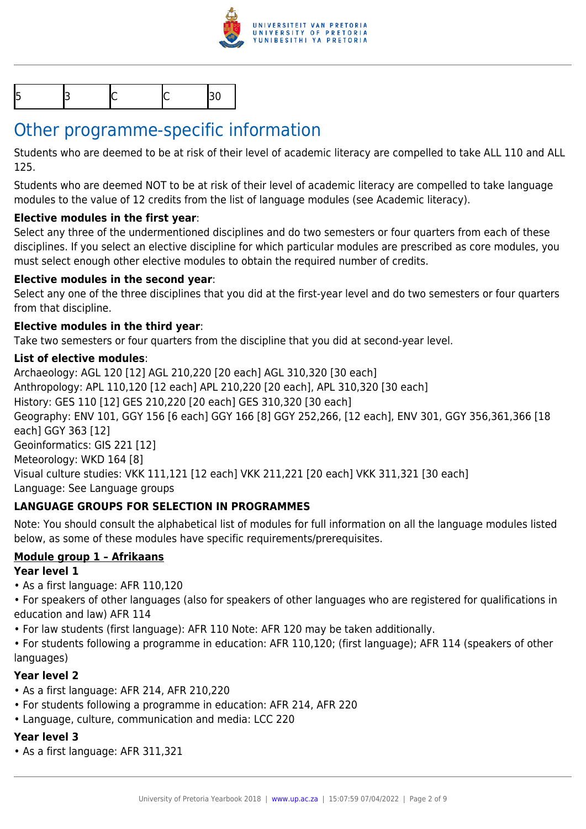

|--|

# Other programme-specific information

Students who are deemed to be at risk of their level of academic literacy are compelled to take ALL 110 and ALL 125.

Students who are deemed NOT to be at risk of their level of academic literacy are compelled to take language modules to the value of 12 credits from the list of language modules (see Academic literacy).

### **Elective modules in the first year**:

Select any three of the undermentioned disciplines and do two semesters or four quarters from each of these disciplines. If you select an elective discipline for which particular modules are prescribed as core modules, you must select enough other elective modules to obtain the required number of credits.

#### **Elective modules in the second year**:

Select any one of the three disciplines that you did at the first-year level and do two semesters or four quarters from that discipline.

#### **Elective modules in the third year**:

Take two semesters or four quarters from the discipline that you did at second-year level.

#### **List of elective modules**:

Archaeology: AGL 120 [12] AGL 210,220 [20 each] AGL 310,320 [30 each] Anthropology: APL 110,120 [12 each] APL 210,220 [20 each], APL 310,320 [30 each] History: GES 110 [12] GES 210,220 [20 each] GES 310,320 [30 each] Geography: ENV 101, GGY 156 [6 each] GGY 166 [8] GGY 252,266, [12 each], ENV 301, GGY 356,361,366 [18 each] GGY 363 [12] Geoinformatics: GIS 221 [12] Meteorology: WKD 164 [8] Visual culture studies: VKK 111,121 [12 each] VKK 211,221 [20 each] VKK 311,321 [30 each] Language: See Language groups

### **LANGUAGE GROUPS FOR SELECTION IN PROGRAMMES**

Note: You should consult the alphabetical list of modules for full information on all the language modules listed below, as some of these modules have specific requirements/prerequisites.

### **Module group 1 – Afrikaans**

#### **Year level 1**

• As a first language: AFR 110,120

• For speakers of other languages (also for speakers of other languages who are registered for qualifications in education and law) AFR 114

• For law students (first language): AFR 110 Note: AFR 120 may be taken additionally.

• For students following a programme in education: AFR 110,120; (first language); AFR 114 (speakers of other languages)

#### **Year level 2**

- As a first language: AFR 214, AFR 210,220
- For students following a programme in education: AFR 214, AFR 220
- Language, culture, communication and media: LCC 220

### **Year level 3**

• As a first language: AFR 311,321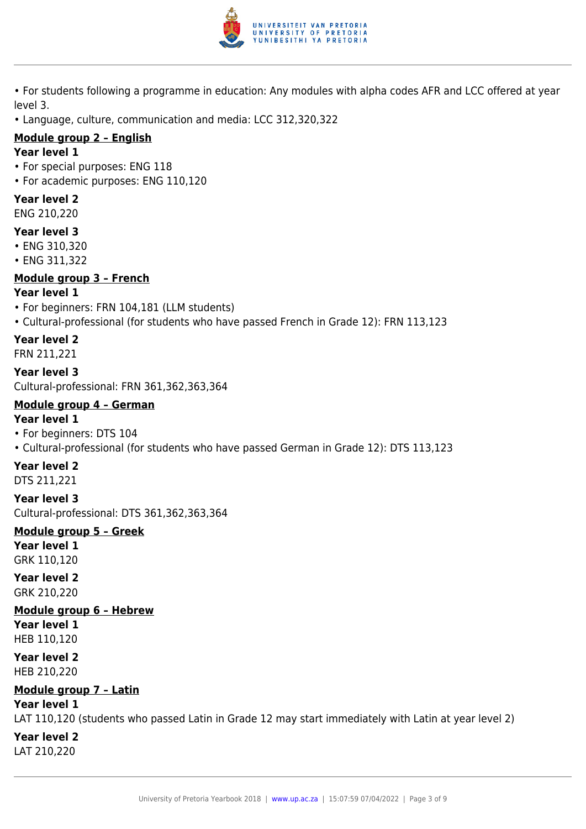

- For students following a programme in education: Any modules with alpha codes AFR and LCC offered at year level 3.
- Language, culture, communication and media: LCC 312,320,322

#### **Module group 2 – English**

#### **Year level 1**

- For special purposes: ENG 118
- For academic purposes: ENG 110,120

#### **Year level 2**

ENG 210,220

#### **Year level 3**

- ENG 310,320
- ENG 311,322

#### **Module group 3 – French**

#### **Year level 1**

- For beginners: FRN 104,181 (LLM students)
- Cultural-professional (for students who have passed French in Grade 12): FRN 113,123

#### **Year level 2**

FRN 211,221

**Year level 3** Cultural-professional: FRN 361,362,363,364

#### **Module group 4 – German Year level 1**

- For beginners: DTS 104
- Cultural-professional (for students who have passed German in Grade 12): DTS 113,123

#### **Year level 2**

DTS 211,221

**Year level 3** Cultural-professional: DTS 361,362,363,364

#### **Module group 5 – Greek**

**Year level 1** GRK 110,120

#### **Year level 2** GRK 210,220

#### **Module group 6 – Hebrew**

**Year level 1** HEB 110,120

**Year level 2** HEB 210,220

### **Module group 7 – Latin**

#### **Year level 1**

LAT 110,120 (students who passed Latin in Grade 12 may start immediately with Latin at year level 2)

#### **Year level 2**

LAT 210,220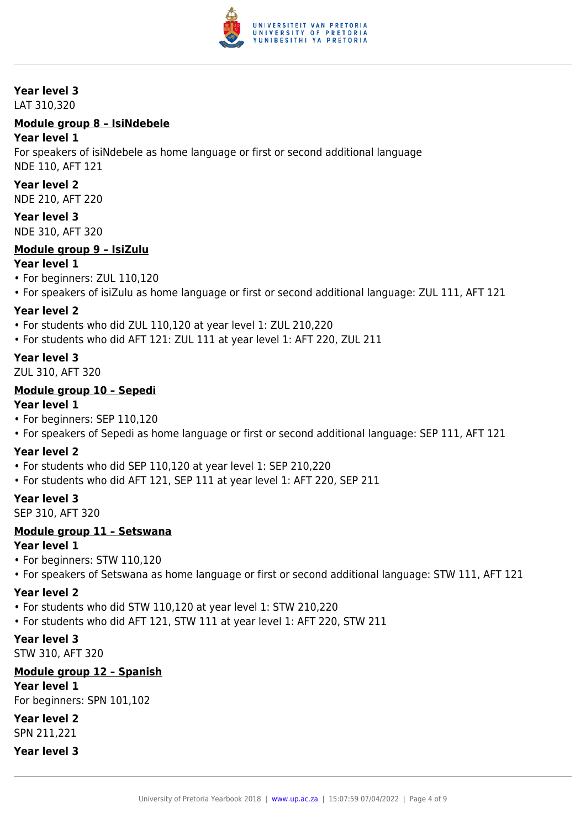

#### **Year level 3**

LAT 310,320

#### **Module group 8 – IsiNdebele**

#### **Year level 1**

For speakers of isiNdebele as home language or first or second additional language NDE 110, AFT 121

#### **Year level 2**

NDE 210, AFT 220

#### **Year level 3**

NDE 310, AFT 320

#### **Module group 9 – IsiZulu**

#### **Year level 1**

- For beginners: ZUL 110,120
- For speakers of isiZulu as home language or first or second additional language: ZUL 111, AFT 121

#### **Year level 2**

- For students who did ZUL 110,120 at year level 1: ZUL 210,220
- For students who did AFT 121: ZUL 111 at year level 1: AFT 220, ZUL 211

#### **Year level 3**

ZUL 310, AFT 320

#### **Module group 10 – Sepedi**

#### **Year level 1**

- For beginners: SEP 110,120
- For speakers of Sepedi as home language or first or second additional language: SEP 111, AFT 121

#### **Year level 2**

- For students who did SEP 110,120 at year level 1: SEP 210,220
- For students who did AFT 121, SEP 111 at year level 1: AFT 220, SEP 211

#### **Year level 3**

SEP 310, AFT 320

#### **Module group 11 – Setswana**

#### **Year level 1**

- For beginners: STW 110,120
- For speakers of Setswana as home language or first or second additional language: STW 111, AFT 121

#### **Year level 2**

- For students who did STW 110,120 at year level 1: STW 210,220
- For students who did AFT 121, STW 111 at year level 1: AFT 220, STW 211

#### **Year level 3**

STW 310, AFT 320

#### **Module group 12 – Spanish**

**Year level 1**

For beginners: SPN 101,102

**Year level 2** SPN 211,221

#### **Year level 3**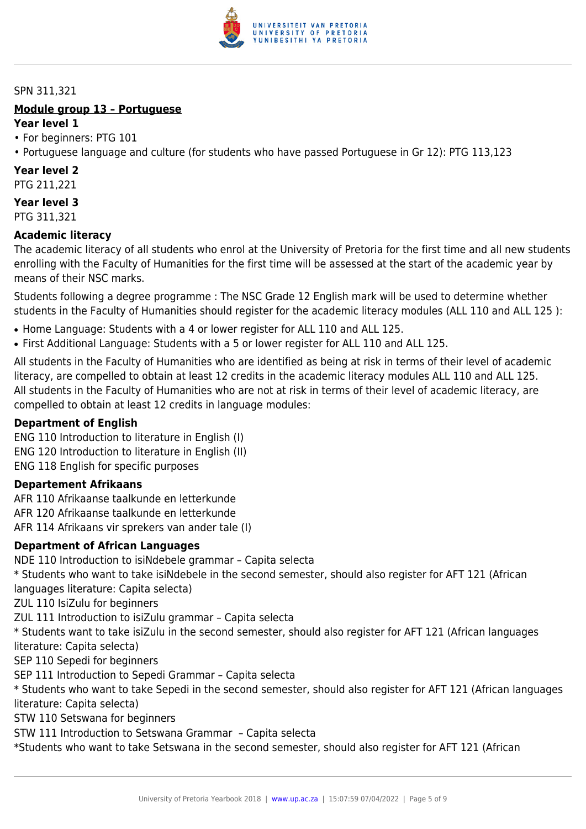

#### SPN 311,321

#### **Module group 13 – Portuguese Year level 1**

#### • For beginners: PTG 101

• Portuguese language and culture (for students who have passed Portuguese in Gr 12): PTG 113,123

#### **Year level 2**

PTG 211,221

**Year level 3** PTG 311,321

#### **Academic literacy**

The academic literacy of all students who enrol at the University of Pretoria for the first time and all new students enrolling with the Faculty of Humanities for the first time will be assessed at the start of the academic year by means of their NSC marks.

Students following a degree programme : The NSC Grade 12 English mark will be used to determine whether students in the Faculty of Humanities should register for the academic literacy modules (ALL 110 and ALL 125 ):

- Home Language: Students with a 4 or lower register for ALL 110 and ALL 125.
- First Additional Language: Students with a 5 or lower register for ALL 110 and ALL 125.

All students in the Faculty of Humanities who are identified as being at risk in terms of their level of academic literacy, are compelled to obtain at least 12 credits in the academic literacy modules ALL 110 and ALL 125. All students in the Faculty of Humanities who are not at risk in terms of their level of academic literacy, are compelled to obtain at least 12 credits in language modules:

#### **Department of English**

ENG 110 Introduction to literature in English (I) ENG 120 Introduction to literature in English (II) ENG 118 English for specific purposes

#### **Departement Afrikaans**

AFR 110 Afrikaanse taalkunde en letterkunde AFR 120 Afrikaanse taalkunde en letterkunde AFR 114 Afrikaans vir sprekers van ander tale (I)

#### **Department of African Languages**

NDE 110 Introduction to isiNdebele grammar – Capita selecta

\* Students who want to take isiNdebele in the second semester, should also register for AFT 121 (African

languages literature: Capita selecta)

ZUL 110 IsiZulu for beginners

ZUL 111 Introduction to isiZulu grammar – Capita selecta

\* Students want to take isiZulu in the second semester, should also register for AFT 121 (African languages literature: Capita selecta)

SEP 110 Sepedi for beginners

SEP 111 Introduction to Sepedi Grammar – Capita selecta

\* Students who want to take Sepedi in the second semester, should also register for AFT 121 (African languages literature: Capita selecta)

STW 110 Setswana for beginners

STW 111 Introduction to Setswana Grammar – Capita selecta

\*Students who want to take Setswana in the second semester, should also register for AFT 121 (African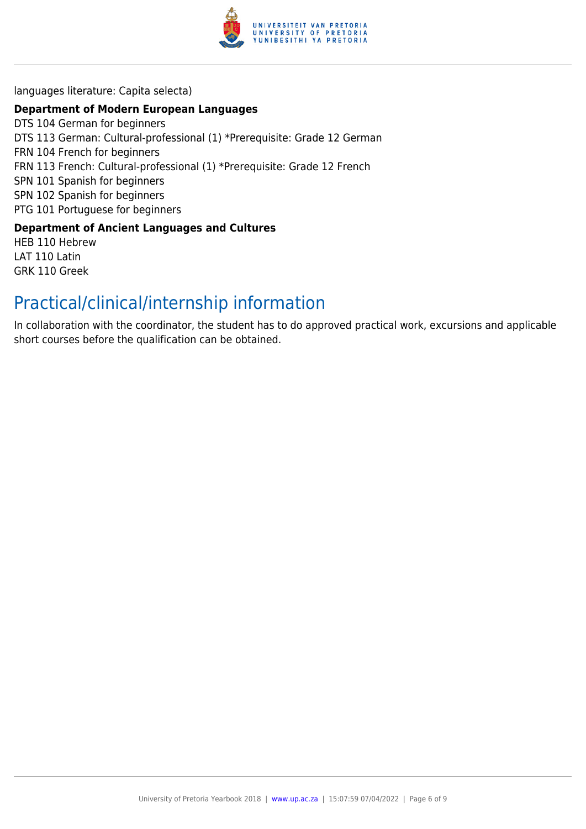

languages literature: Capita selecta)

#### **Department of Modern European Languages**

DTS 104 German for beginners DTS 113 German: Cultural-professional (1) \*Prerequisite: Grade 12 German FRN 104 French for beginners FRN 113 French: Cultural-professional (1) \*Prerequisite: Grade 12 French SPN 101 Spanish for beginners SPN 102 Spanish for beginners PTG 101 Portuguese for beginners

#### **Department of Ancient Languages and Cultures**

HEB 110 Hebrew LAT 110 Latin GRK 110 Greek

# Practical/clinical/internship information

In collaboration with the coordinator, the student has to do approved practical work, excursions and applicable short courses before the qualification can be obtained.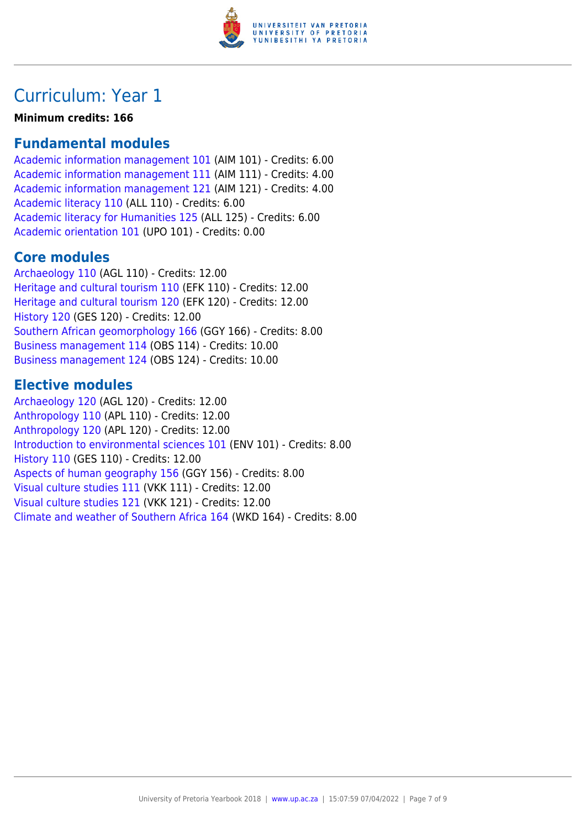

# Curriculum: Year 1

**Minimum credits: 166**

# **Fundamental modules**

[Academic information management 101](https://www.up.ac.za/yearbooks/2018/modules/view/AIM 101) (AIM 101) - Credits: 6.00 [Academic information management 111](https://www.up.ac.za/yearbooks/2018/modules/view/AIM 111) (AIM 111) - Credits: 4.00 [Academic information management 121](https://www.up.ac.za/yearbooks/2018/modules/view/AIM 121) (AIM 121) - Credits: 4.00 [Academic literacy 110](https://www.up.ac.za/yearbooks/2018/modules/view/ALL 110) (ALL 110) - Credits: 6.00 [Academic literacy for Humanities 125](https://www.up.ac.za/yearbooks/2018/modules/view/ALL 125) (ALL 125) - Credits: 6.00 [Academic orientation 101](https://www.up.ac.za/yearbooks/2018/modules/view/UPO 101) (UPO 101) - Credits: 0.00

# **Core modules**

[Archaeology 110](https://www.up.ac.za/yearbooks/2018/modules/view/AGL 110) (AGL 110) - Credits: 12.00 [Heritage and cultural tourism 110](https://www.up.ac.za/yearbooks/2018/modules/view/EFK 110) (EFK 110) - Credits: 12.00 [Heritage and cultural tourism 120](https://www.up.ac.za/yearbooks/2018/modules/view/EFK 120) (EFK 120) - Credits: 12.00 [History 120](https://www.up.ac.za/yearbooks/2018/modules/view/GES 120) (GES 120) - Credits: 12.00 [Southern African geomorphology 166](https://www.up.ac.za/yearbooks/2018/modules/view/GGY 166) (GGY 166) - Credits: 8.00 [Business management 114](https://www.up.ac.za/yearbooks/2018/modules/view/OBS 114) (OBS 114) - Credits: 10.00 [Business management 124](https://www.up.ac.za/yearbooks/2018/modules/view/OBS 124) (OBS 124) - Credits: 10.00

# **Elective modules**

[Archaeology 120](https://www.up.ac.za/yearbooks/2018/modules/view/AGL 120) (AGL 120) - Credits: 12.00 [Anthropology 110](https://www.up.ac.za/yearbooks/2018/modules/view/APL 110) (APL 110) - Credits: 12.00 [Anthropology 120](https://www.up.ac.za/yearbooks/2018/modules/view/APL 120) (APL 120) - Credits: 12.00 [Introduction to environmental sciences 101](https://www.up.ac.za/yearbooks/2018/modules/view/ENV 101) (ENV 101) - Credits: 8.00 [History 110](https://www.up.ac.za/yearbooks/2018/modules/view/GES 110) (GES 110) - Credits: 12.00 [Aspects of human geography 156](https://www.up.ac.za/yearbooks/2018/modules/view/GGY 156) (GGY 156) - Credits: 8.00 [Visual culture studies 111](https://www.up.ac.za/yearbooks/2018/modules/view/VKK 111) (VKK 111) - Credits: 12.00 [Visual culture studies 121](https://www.up.ac.za/yearbooks/2018/modules/view/VKK 121) (VKK 121) - Credits: 12.00 [Climate and weather of Southern Africa 164](https://www.up.ac.za/yearbooks/2018/modules/view/WKD 164) (WKD 164) - Credits: 8.00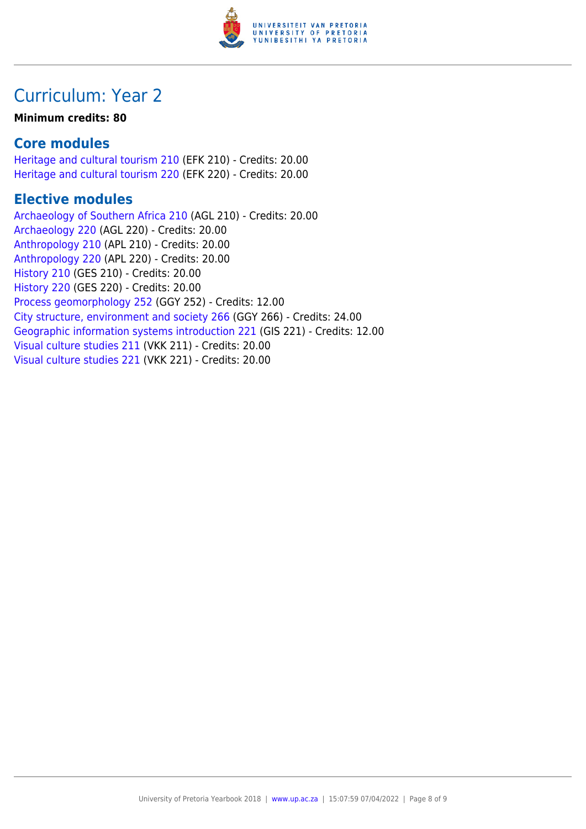

# Curriculum: Year 2

#### **Minimum credits: 80**

## **Core modules**

[Heritage and cultural tourism 210](https://www.up.ac.za/yearbooks/2018/modules/view/EFK 210) (EFK 210) - Credits: 20.00 [Heritage and cultural tourism 220](https://www.up.ac.za/yearbooks/2018/modules/view/EFK 220) (EFK 220) - Credits: 20.00

# **Elective modules**

[Archaeology of Southern Africa 210](https://www.up.ac.za/yearbooks/2018/modules/view/AGL 210) (AGL 210) - Credits: 20.00 [Archaeology 220](https://www.up.ac.za/yearbooks/2018/modules/view/AGL 220) (AGL 220) - Credits: 20.00 [Anthropology 210](https://www.up.ac.za/yearbooks/2018/modules/view/APL 210) (APL 210) - Credits: 20.00 [Anthropology 220](https://www.up.ac.za/yearbooks/2018/modules/view/APL 220) (APL 220) - Credits: 20.00 [History 210](https://www.up.ac.za/yearbooks/2018/modules/view/GES 210) (GES 210) - Credits: 20.00 [History 220](https://www.up.ac.za/yearbooks/2018/modules/view/GES 220) (GES 220) - Credits: 20.00 [Process geomorphology 252](https://www.up.ac.za/yearbooks/2018/modules/view/GGY 252) (GGY 252) - Credits: 12.00 [City structure, environment and society 266](https://www.up.ac.za/yearbooks/2018/modules/view/GGY 266) (GGY 266) - Credits: 24.00 [Geographic information systems introduction 221](https://www.up.ac.za/yearbooks/2018/modules/view/GIS 221) (GIS 221) - Credits: 12.00 [Visual culture studies 211](https://www.up.ac.za/yearbooks/2018/modules/view/VKK 211) (VKK 211) - Credits: 20.00 [Visual culture studies 221](https://www.up.ac.za/yearbooks/2018/modules/view/VKK 221) (VKK 221) - Credits: 20.00